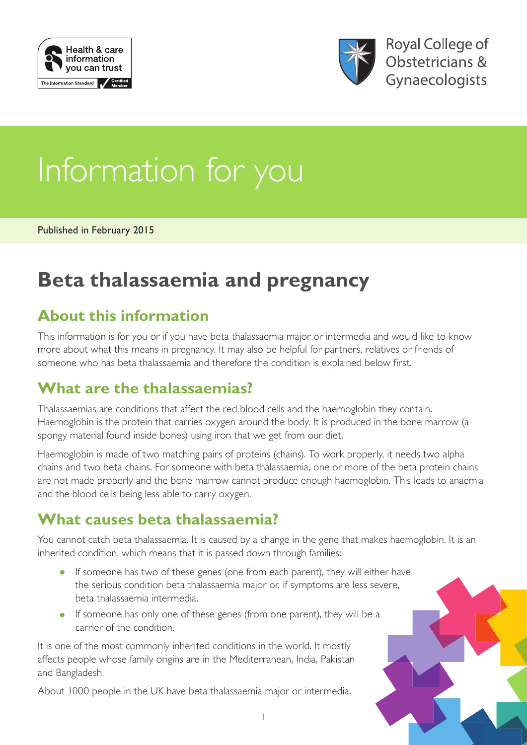



# Information for you

Published in February 2015

## **Beta thalassaemia and pregnancy**

#### **About this information**

This information is for you or if you have beta thalassaemia major or intermedia and would like to know more about what this means in pregnancy. It may also be helpful for partners, relatives or friends of someone who has beta thalassaemia and therefore the condition is explained below first.

#### **What are the thalassaemias?**

Thalassaemias are conditions that affect the red blood cells and the haemoglobin they contain. Haemoglobin is the protein that carries oxygen around the body. It is produced in the bone marrow (a spongy material found inside bones) using iron that we get from our diet.

Haemoglobin is made of two matching pairs of proteins (chains). To work properly, it needs two alpha chains and two beta chains. For someone with beta thalassaemia, one or more of the beta protein chains are not made properly and the bone marrow cannot produce enough haemoglobin. This leads to anaemia and the blood cells being less able to carry oxygen.

#### **What causes beta thalassaemia?**

You cannot catch beta thalassaemia. It is caused by a change in the gene that makes haemoglobin. It is an inherited condition, which means that it is passed down through families:

- If someone has two of these genes (one from each parent), they will either have the serious condition beta thalassaemia major or, if symptoms are less severe, beta thalassaemia intermedia.
- If someone has only one of these genes (from one parent), they will be a carrier of the condition.

It is one of the most commonly inherited conditions in the world. It mostly affects people whose family origins are in the Mediterranean, India, Pakistan and Bangladesh.

About 1000 people in the UK have beta thalassaemia major or intermedia.

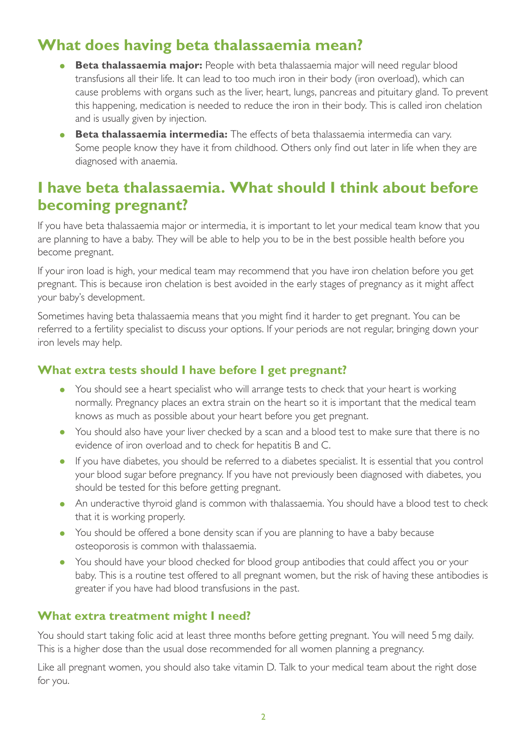#### **What does having beta thalassaemia mean?**

- **Beta thalassaemia major:** People with beta thalassaemia major will need regular blood transfusions all their life. It can lead to too much iron in their body (iron overload), which can cause problems with organs such as the liver, heart, lungs, pancreas and pituitary gland. To prevent this happening, medication is needed to reduce the iron in their body. This is called iron chelation and is usually given by injection.
- **Beta thalassaemia intermedia:** The effects of beta thalassaemia intermedia can vary. Some people know they have it from childhood. Others only find out later in life when they are diagnosed with anaemia.

#### **I have beta thalassaemia. What should I think about before becoming pregnant?**

If you have beta thalassaemia major or intermedia, it is important to let your medical team know that you are planning to have a baby. They will be able to help you to be in the best possible health before you become pregnant.

If your iron load is high, your medical team may recommend that you have iron chelation before you get pregnant. This is because iron chelation is best avoided in the early stages of pregnancy as it might affect your baby's development.

Sometimes having beta thalassaemia means that you might find it harder to get pregnant. You can be referred to a fertility specialist to discuss your options. If your periods are not regular, bringing down your iron levels may help.

#### **What extra tests should I have before I get pregnant?**

- You should see a heart specialist who will arrange tests to check that your heart is working normally. Pregnancy places an extra strain on the heart so it is important that the medical team knows as much as possible about your heart before you get pregnant.
- You should also have your liver checked by a scan and a blood test to make sure that there is no evidence of iron overload and to check for hepatitis B and C.
- If you have diabetes, you should be referred to a diabetes specialist. It is essential that you control your blood sugar before pregnancy. If you have not previously been diagnosed with diabetes, you should be tested for this before getting pregnant.
- An underactive thyroid gland is common with thalassaemia. You should have a blood test to check that it is working properly.
- You should be offered a bone density scan if you are planning to have a baby because osteoporosis is common with thalassaemia.
- You should have your blood checked for blood group antibodies that could affect you or your baby. This is a routine test offered to all pregnant women, but the risk of having these antibodies is greater if you have had blood transfusions in the past.

#### **What extra treatment might I need?**

You should start taking folic acid at least three months before getting pregnant. You will need 5mg daily. This is a higher dose than the usual dose recommended for all women planning a pregnancy.

Like all pregnant women, you should also take vitamin D. Talk to your medical team about the right dose for you.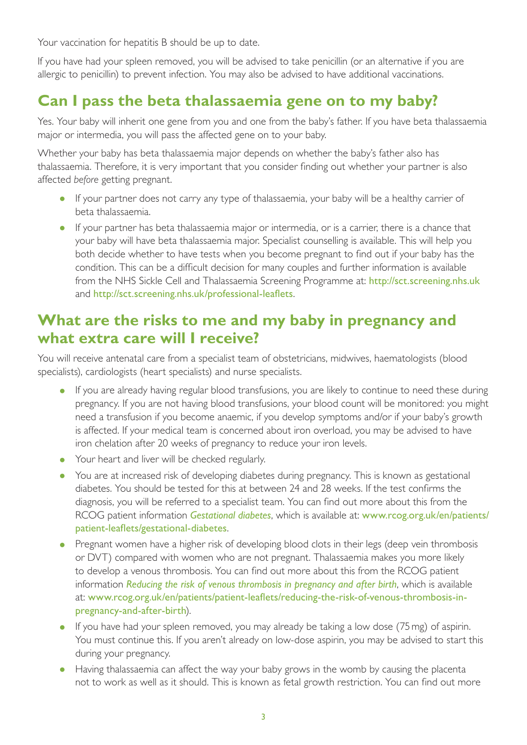Your vaccination for hepatitis B should be up to date.

If you have had your spleen removed, you will be advised to take penicillin (or an alternative if you are allergic to penicillin) to prevent infection. You may also be advised to have additional vaccinations.

#### **Can I pass the beta thalassaemia gene on to my baby?**

Yes. Your baby will inherit one gene from you and one from the baby's father. If you have beta thalassaemia major or intermedia, you will pass the affected gene on to your baby.

Whether your baby has beta thalassaemia major depends on whether the baby's father also has thalassaemia. Therefore, it is very important that you consider finding out whether your partner is also affected *before* getting pregnant.

- If your partner does not carry any type of thalassaemia, your baby will be a healthy carrier of beta thalassaemia.
- If your partner has beta thalassaemia major or intermedia, or is a carrier, there is a chance that your baby will have beta thalassaemia major. Specialist counselling is available. This will help you both decide whether to have tests when you become pregnant to find out if your baby has the condition. This can be a difficult decision for many couples and further information is available from the NHS Sickle Cell and Thalassaemia Screening Programme at: <http://sct.screening.nhs.uk> and <http://sct.screening.nhs.uk/professional-leaflets>.

#### **What are the risks to me and my baby in pregnancy and what extra care will I receive?**

You will receive antenatal care from a specialist team of obstetricians, midwives, haematologists (blood specialists), cardiologists (heart specialists) and nurse specialists.

- If you are already having regular blood transfusions, you are likely to continue to need these during pregnancy. If you are not having blood transfusions, your blood count will be monitored: you might need a transfusion if you become anaemic, if you develop symptoms and/or if your baby's growth is affected. If your medical team is concerned about iron overload, you may be advised to have iron chelation after 20 weeks of pregnancy to reduce your iron levels.
- Your heart and liver will be checked regularly.
- You are at increased risk of developing diabetes during pregnancy. This is known as gestational diabetes. You should be tested for this at between 24 and 28 weeks. If the test confirms the diagnosis, you will be referred to a specialist team. You can find out more about this from the RCOG patient information *[Gestational diabetes](https://www.rcog.org.uk/en/patients/patient-leaflets/gestational-diabetes/)*, which is available at: [www.rcog.org.uk/en/patients/](https://www.rcog.org.uk/en/patients/patient-leaflets/gestational-diabetes/) [patient-leaflets/gestational-diabetes](https://www.rcog.org.uk/en/patients/patient-leaflets/gestational-diabetes/).
- Pregnant women have a higher risk of developing blood clots in their legs (deep vein thrombosis or DVT) compared with women who are not pregnant. Thalassaemia makes you more likely to develop a venous thrombosis. You can find out more about this from the RCOG patient information *[Reducing the risk of venous thrombosis in pregnancy and after birth](https://www.rcog.org.uk/en/patients/patient-leaflets/reducing-the-risk-of-venous-thrombosis-in-pregnancy-and-after-birth/)*, which is available at: [www.rcog.org.uk/en/patients/patient-leaflets/reducing-the-risk-of-venous-thrombosis-in](https://www.rcog.org.uk/en/patients/patient-leaflets/reducing-the-risk-of-venous-thrombosis-in-pregnancy-and-after-birth/)[pregnancy-and-after-birth](https://www.rcog.org.uk/en/patients/patient-leaflets/reducing-the-risk-of-venous-thrombosis-in-pregnancy-and-after-birth/)).
- If you have had your spleen removed, you may already be taking a low dose (75mg) of aspirin. You must continue this. If you aren't already on low-dose aspirin, you may be advised to start this during your pregnancy.
- Having thalassaemia can affect the way your baby grows in the womb by causing the placenta not to work as well as it should. This is known as fetal growth restriction. You can find out more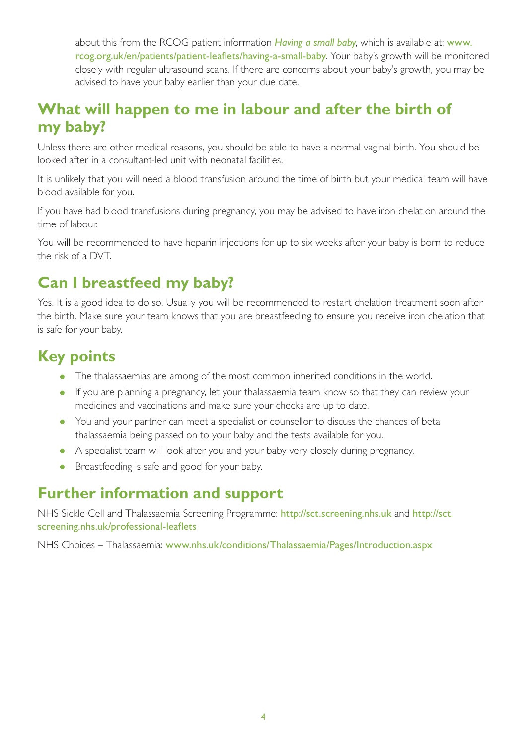about this from the RCOG patient information *[Having a small baby](https://www.rcog.org.uk/en/patients/patient-leaflets/having-a-small-baby/)*, which is available at: [www.](https://www.rcog.org.uk/en/patients/patient-leaflets/having-a-small-baby/) [rcog.org.uk/en/patients/patient-leaflets/having-a-small-baby](https://www.rcog.org.uk/en/patients/patient-leaflets/having-a-small-baby/). Your baby's growth will be monitored closely with regular ultrasound scans. If there are concerns about your baby's growth, you may be advised to have your baby earlier than your due date.

#### **What will happen to me in labour and after the birth of my baby?**

Unless there are other medical reasons, you should be able to have a normal vaginal birth. You should be looked after in a consultant-led unit with neonatal facilities.

It is unlikely that you will need a blood transfusion around the time of birth but your medical team will have blood available for you.

If you have had blood transfusions during pregnancy, you may be advised to have iron chelation around the time of labour.

You will be recommended to have heparin injections for up to six weeks after your baby is born to reduce the risk of a DVT.

## **Can I breastfeed my baby?**

Yes. It is a good idea to do so. Usually you will be recommended to restart chelation treatment soon after the birth. Make sure your team knows that you are breastfeeding to ensure you receive iron chelation that is safe for your baby.

## **Key points**

- The thalassaemias are among of the most common inherited conditions in the world.
- If you are planning a pregnancy, let your thalassaemia team know so that they can review your medicines and vaccinations and make sure your checks are up to date.
- You and your partner can meet a specialist or counsellor to discuss the chances of beta thalassaemia being passed on to your baby and the tests available for you.
- A specialist team will look after you and your baby very closely during pregnancy.
- Breastfeeding is safe and good for your baby.

#### **Further information and support**

NHS Sickle Cell and Thalassaemia Screening Programme: http://sct.screening.nhs.uk and http://sct. screening.nhs.uk/professional-leaflets

NHS Choices – Thalassaemia: [www.nhs.uk/conditions/Thalassaemia/Pages/Introduction.aspx](http://www.nhs.uk/conditions/Thalassaemia/Pages/Introduction.aspx)